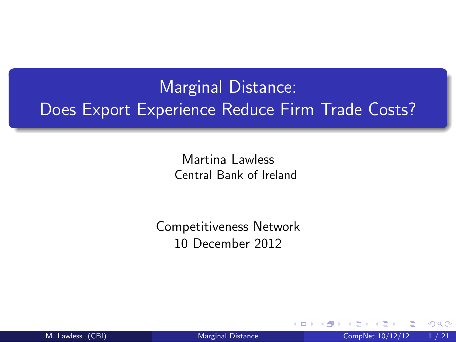# Marginal Distance: Does Export Experience Reduce Firm Trade Costs?

Martina Lawless Central Bank of Ireland

<span id="page-0-0"></span>Competitiveness Network 10 December 2012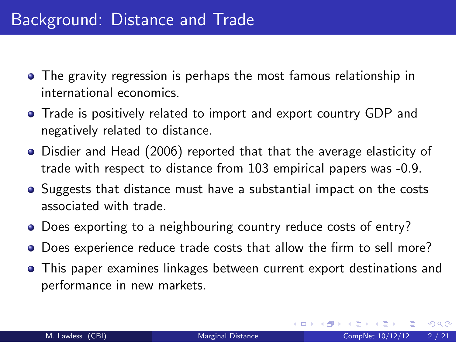- The gravity regression is perhaps the most famous relationship in international economics.
- Trade is positively related to import and export country GDP and negatively related to distance.
- Disdier and Head (2006) reported that that the average elasticity of trade with respect to distance from 103 empirical papers was -0.9.
- Suggests that distance must have a substantial impact on the costs associated with trade.
- Does exporting to a neighbouring country reduce costs of entry?
- Does experience reduce trade costs that allow the firm to sell more?
- **•** This paper examines linkages between current export destinations and performance in new markets.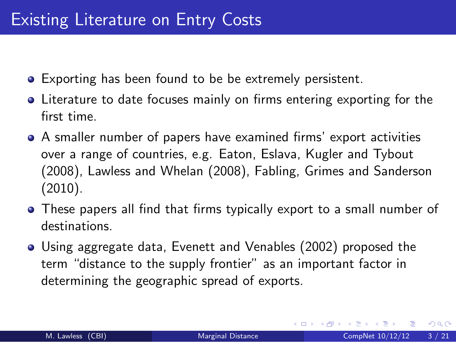- Exporting has been found to be be extremely persistent.
- Literature to date focuses mainly on firms entering exporting for the first time.
- A smaller number of papers have examined firms' export activities over a range of countries, e.g. Eaton, Eslava, Kugler and Tybout (2008), Lawless and Whelan (2008), Fabling, Grimes and Sanderson (2010).
- These papers all find that firms typically export to a small number of destinations.
- Using aggregate data, Evenett and Venables (2002) proposed the term "distance to the supply frontier" as an important factor in determining the geographic spread of exports.

 $QQQ$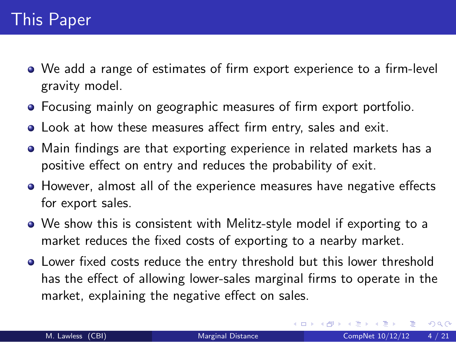- We add a range of estimates of firm export experience to a firm-level gravity model.
- Focusing mainly on geographic measures of firm export portfolio.
- Look at how these measures affect firm entry, sales and exit.
- Main findings are that exporting experience in related markets has a positive effect on entry and reduces the probability of exit.
- However, almost all of the experience measures have negative effects for export sales.
- We show this is consistent with Melitz-style model if exporting to a market reduces the fixed costs of exporting to a nearby market.
- <span id="page-3-0"></span>Lower fixed costs reduce the entry threshold but this lower threshold has the effect of allowing lower-sales marginal firms to operate in the market, explaining the negative effect on sales.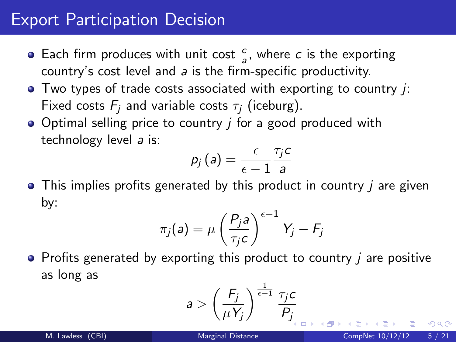### Export Participation Decision

- Each firm produces with unit cost  $\frac{c}{a}$ , where c is the exporting country's cost level and a is the firm-specific productivity.
- $\bullet$  Two types of trade costs associated with exporting to country  $\dot{j}$ : Fixed costs  $F_i$  and variable costs  $\tau_i$  (iceburg).
- Optimal selling price to country *i* for a good produced with technology level a is:

$$
p_j\left(a\right)=\frac{\epsilon}{\epsilon-1}\frac{\tau_j c}{a}
$$

 $\bullet$  This implies profits generated by this product in country *i* are given by:

$$
\pi_j(a) = \mu \left(\frac{P_j a}{\tau_j c}\right)^{\epsilon - 1} Y_j - F_j
$$

 $\bullet$  Profits generated by exporting this product to country  $\mu$  are positive as long as

$$
a > \left(\frac{F_j}{\mu Y_j}\right)^{\frac{1}{\epsilon - 1}} \frac{\tau_j c}{P_j}
$$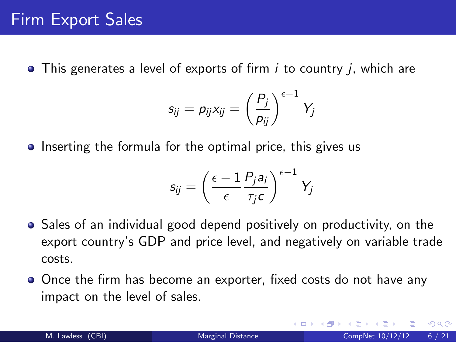$\bullet$  This generates a level of exports of firm  $i$  to country  $j$ , which are

$$
s_{ij} = p_{ij}x_{ij} = \left(\frac{P_j}{p_{ij}}\right)^{\epsilon-1}Y_j
$$

• Inserting the formula for the optimal price, this gives us

$$
s_{ij}=\left(\frac{\epsilon-1}{\epsilon}\frac{P_j a_i}{\tau_j c}\right)^{\epsilon-1}Y_j
$$

- Sales of an individual good depend positively on productivity, on the export country's GDP and price level, and negatively on variable trade costs.
- Once the firm has become an exporter, fixed costs do not have any impact on the level of sales.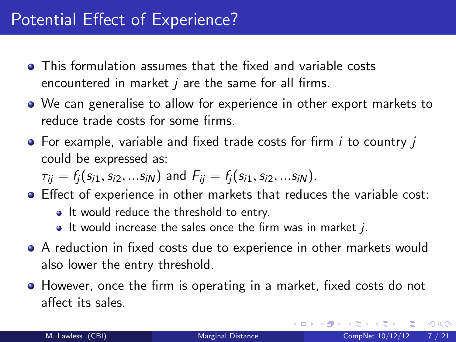- This formulation assumes that the fixed and variable costs encountered in market  $i$  are the same for all firms.
- We can generalise to allow for experience in other export markets to reduce trade costs for some firms.
- $\bullet$  For example, variable and fixed trade costs for firm *i* to country *j* could be expressed as:

$$
\tau_{ij} = f_j(s_{i1}, s_{i2}, ...s_{iN})
$$
 and  $F_{ij} = f_j(s_{i1}, s_{i2}, ...s_{iN}).$ 

- Effect of experience in other markets that reduces the variable cost:
	- It would reduce the threshold to entry.
	- $\bullet$  It would increase the sales once the firm was in market j.
- A reduction in fixed costs due to experience in other markets would also lower the entry threshold.
- However, once the firm is operating in a market, fixed costs do not affect its sales.

 $\Omega$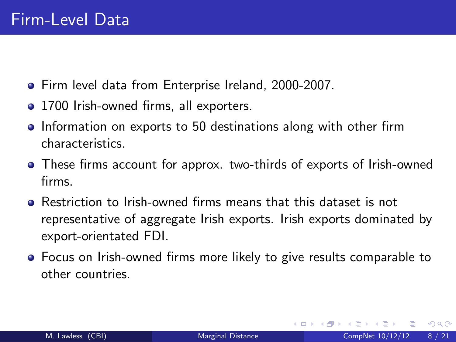- Firm level data from Enterprise Ireland, 2000-2007.
- 1700 Irish-owned firms, all exporters.
- Information on exports to 50 destinations along with other firm characteristics.
- These firms account for approx. two-thirds of exports of Irish-owned firms.
- Restriction to Irish-owned firms means that this dataset is not representative of aggregate Irish exports. Irish exports dominated by export-orientated FDI.
- Focus on Irish-owned firms more likely to give results comparable to other countries.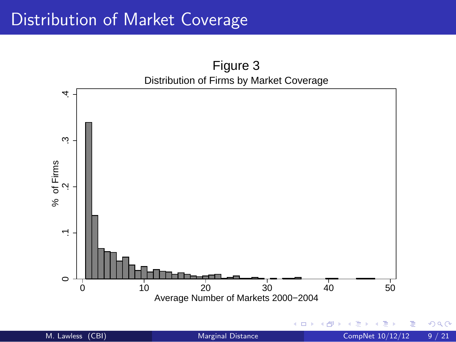# Distribution of Market Coverage

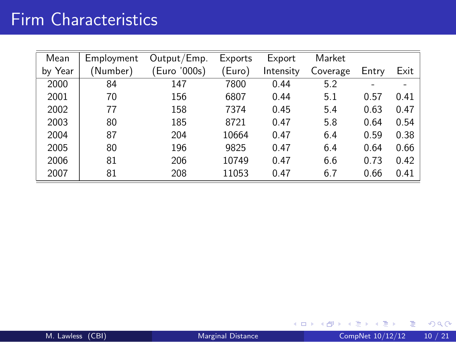# Firm Characteristics

| Mean    | Employment | Output/Emp.  | Exports | Export    | Market   |       |      |
|---------|------------|--------------|---------|-----------|----------|-------|------|
| by Year | (Number)   | (Euro '000s) | 'Euro)  | Intensity | Coverage | Entry | Exit |
| 2000    | 84         | 147          | 7800    | 0.44      | 5.2      |       |      |
| 2001    | 70         | 156          | 6807    | 0.44      | 5.1      | 0.57  | 0.41 |
| 2002    | 77         | 158          | 7374    | 0.45      | 5.4      | 0.63  | 0.47 |
| 2003    | 80         | 185          | 8721    | 0.47      | 5.8      | 0.64  | 0.54 |
| 2004    | 87         | 204          | 10664   | 0.47      | 6.4      | 0.59  | 0.38 |
| 2005    | 80         | 196          | 9825    | 0.47      | 6.4      | 0.64  | 0.66 |
| 2006    | 81         | 206          | 10749   | 0.47      | 6.6      | 0.73  | 0.42 |
| 2007    | 81         | 208          | 11053   | 0.47      | 6.7      | 0.66  | 0.41 |

4 日下

∢母 × э  $\mathbf{p}$  $\sim$  重  $OQ$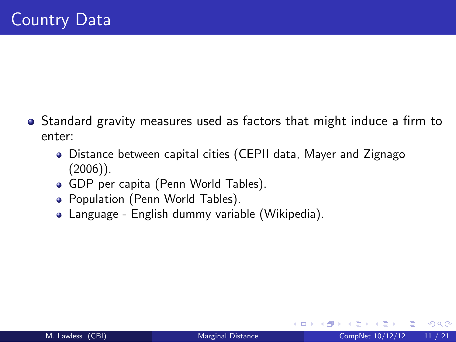- Standard gravity measures used as factors that might induce a firm to enter:
	- Distance between capital cities (CEPII data, Mayer and Zignago  $(2006)$ ).
	- GDP per capita (Penn World Tables).
	- Population (Penn World Tables).
	- Language English dummy variable (Wikipedia).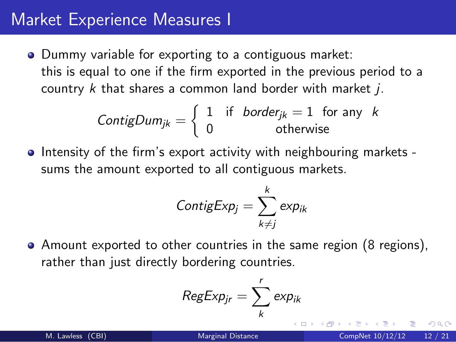### Market Experience Measures I

• Dummy variable for exporting to a contiguous market: this is equal to one if the firm exported in the previous period to a country  $k$  that shares a common land border with market  $j$ .

$$
ContigDum_{jk} = \begin{cases} 1 & \text{if} \quad border_{jk} = 1 \quad \text{for any} \quad k \\ 0 & \text{otherwise} \end{cases}
$$

• Intensity of the firm's export activity with neighbouring markets sums the amount exported to all contiguous markets.

$$
ContigExp_j = \sum_{k \neq j}^{k} exp_{ik}
$$

Amount exported to other countries in the same region (8 regions), rather than just directly bordering countries.

$$
RegExp_{jr} = \sum_{k}^{r} exp_{ik}
$$

∽≏∩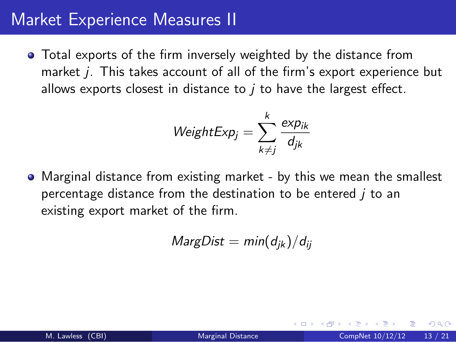### Market Experience Measures II

Total exports of the firm inversely weighted by the distance from market *j*. This takes account of all of the firm's export experience but allows exports closest in distance to  *to have the largest effect.* 

$$
WeightExp_j = \sum_{k \neq j}^{k} \frac{exp_{ik}}{d_{jk}}
$$

• Marginal distance from existing market - by this we mean the smallest percentage distance from the destination to be entered  *to an* existing export market of the firm.

$$
MargDist = min(d_{jk})/d_{ij}
$$

 $\Omega$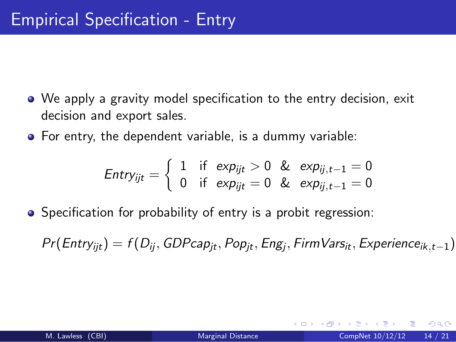- We apply a gravity model specification to the entry decision, exit decision and export sales.
- For entry, the dependent variable, is a dummy variable:

$$
\mathit{Entry}_{ijt} = \left\{ \begin{array}{ll} 1 & \text{if } \exp_{ijt} > 0 \& \exp_{ij,t-1} = 0 \\ 0 & \text{if } \exp_{ijt} = 0 \& \exp_{ij,t-1} = 0 \end{array} \right.
$$

• Specification for probability of entry is a probit regression:

 $Pr(\textit{Entry}_{ijt}) = f(D_{ij}, GDPcap_{jt}, Pop_{jt}, Eng_j, FirmVars_{it}, Experiment_{ik,t-1})$ 

 $\Omega$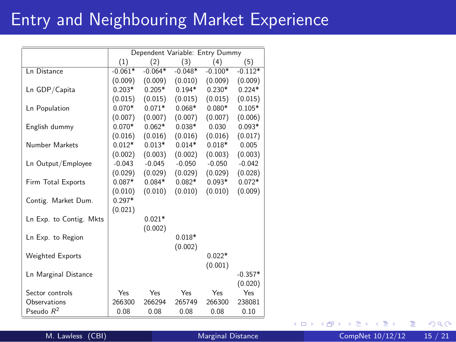# Entry and Neighbouring Market Experience

|                         | Dependent Variable: Entry Dummy |           |           |           |           |
|-------------------------|---------------------------------|-----------|-----------|-----------|-----------|
|                         | (1)                             | (2)       | (3)       | (4)       | (5)       |
| Ln Distance             | $-0.061*$                       | $-0.064*$ | $-0.048*$ | $-0.100*$ | $-0.112*$ |
|                         | (0.009)                         | (0.009)   | (0.010)   | (0.009)   | (0.009)   |
| Ln GDP/Capita           | $0.203*$                        | $0.205*$  | $0.194*$  | $0.230*$  | $0.224*$  |
|                         | (0.015)                         | (0.015)   | (0.015)   | (0.015)   | (0.015)   |
| Ln Population           | $0.070*$                        | $0.071*$  | $0.068*$  | $0.080*$  | $0.105*$  |
|                         | (0.007)                         | (0.007)   | (0.007)   | (0.007)   | (0.006)   |
| English dummy           | $0.070*$                        | $0.062*$  | $0.038*$  | 0.030     | $0.093*$  |
|                         | (0.016)                         | (0.016)   | (0.016)   | (0.016)   | (0.017)   |
| Number Markets          | $0.012*$                        | $0.013*$  | $0.014*$  | $0.018*$  | 0.005     |
|                         | (0.002)                         | (0.003)   | (0.002)   | (0.003)   | (0.003)   |
| Ln Output/Employee      | $-0.043$                        | $-0.045$  | $-0.050$  | $-0.050$  | $-0.042$  |
|                         | (0.029)                         | (0.029)   | (0.029)   | (0.029)   | (0.028)   |
| Firm Total Exports      | $0.087*$                        | $0.084*$  | $0.082*$  | $0.093*$  | $0.072*$  |
|                         | (0.010)                         | (0.010)   | (0.010)   | (0.010)   | (0.009)   |
| Contig. Market Dum.     | $0.297*$                        |           |           |           |           |
|                         | (0.021)                         |           |           |           |           |
| Ln Exp. to Contig. Mkts |                                 | $0.021*$  |           |           |           |
|                         |                                 | (0.002)   |           |           |           |
| Ln Exp. to Region       |                                 |           | $0.018*$  |           |           |
|                         |                                 |           | (0.002)   |           |           |
| <b>Weighted Exports</b> |                                 |           |           | $0.022*$  |           |
|                         |                                 |           |           | (0.001)   |           |
| Ln Marginal Distance    |                                 |           |           |           | $-0.357*$ |
|                         |                                 |           |           |           | (0.020)   |
| Sector controls         | Yes                             | Yes       | Yes       | Yes       | Yes       |
| Observations            | 266300                          | 266294    | 265749    | 266300    | 238081    |
| Pseudo $R^2$            | 0.08                            | 0.08      | 0.08      | 0.08      | 0.10      |

M. Lawless (CBI) [Marginal Distance](#page-0-0) CompNet  $10/12/12$  15 / 21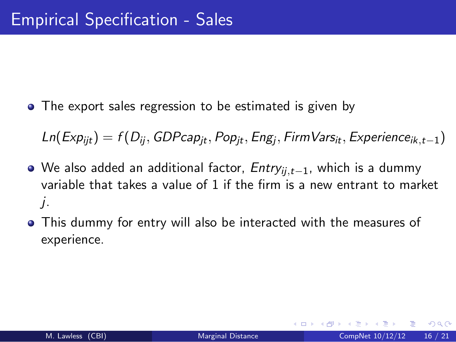• The export sales regression to be estimated is given by

 $\mathsf{Ln}(Exp_{ijt}) = f(D_{ij}, GDPcap_{jt}, Pop_{jt}, Eng_j, FirmVars_{it}, Experiment_{ick,t-1})$ 

- O We also added an additional factor, Entry<sub>ii,t−1</sub>, which is a dummy variable that takes a value of 1 if the firm is a new entrant to market j.
- This dummy for entry will also be interacted with the measures of experience.

つひひ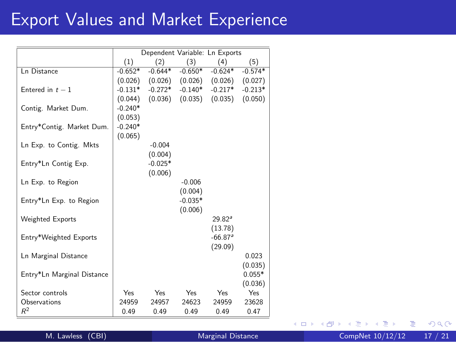# Export Values and Market Experience

|                            | Dependent Variable: Ln Exports |                     |           |                               |           |
|----------------------------|--------------------------------|---------------------|-----------|-------------------------------|-----------|
|                            | (1)                            | (2)                 | (3)       | (4)                           | (5)       |
| <b>Ln Distance</b>         | $-0.652*$                      | $-0.644*$           | $-0.650*$ | $-0.624*$                     | $-0.574*$ |
|                            |                                | $(0.026)$ $(0.026)$ |           | $(0.026)$ $(0.026)$ $(0.027)$ |           |
| Entered in $t-1$           | $-0.131*$                      | $-0.272*$           | $-0.140*$ | $-0.217*$                     | $-0.213*$ |
|                            | (0.044)                        | (0.036)             |           | $(0.035)$ $(0.035)$           | (0.050)   |
| Contig. Market Dum.        | $-0.240*$                      |                     |           |                               |           |
|                            | (0.053)                        |                     |           |                               |           |
| Entry*Contig. Market Dum.  | $-0.240*$                      |                     |           |                               |           |
|                            | (0.065)                        |                     |           |                               |           |
| Ln Exp. to Contig. Mkts    |                                | $-0.004$            |           |                               |           |
|                            |                                | (0.004)             |           |                               |           |
| Entry*Ln Contig Exp.       |                                | $-0.025*$           |           |                               |           |
|                            |                                | (0.006)             |           |                               |           |
| Ln Exp. to Region          |                                |                     | $-0.006$  |                               |           |
|                            |                                |                     | (0.004)   |                               |           |
| Entry*Ln Exp. to Region    |                                |                     | $-0.035*$ |                               |           |
|                            |                                |                     | (0.006)   |                               |           |
| <b>Weighted Exports</b>    |                                |                     |           | 29.82a                        |           |
|                            |                                |                     |           | (13.78)                       |           |
| Entry*Weighted Exports     |                                |                     |           | $-66.87a$                     |           |
|                            |                                |                     |           | (29.09)                       |           |
| Ln Marginal Distance       |                                |                     |           |                               | 0.023     |
|                            |                                |                     |           |                               | (0.035)   |
| Entry*Ln Marginal Distance |                                |                     |           |                               | $0.055*$  |
|                            |                                |                     |           |                               | (0.036)   |
| Sector controls            | Yes                            | Yes                 | Yes       | Yes                           | Yes.      |
| Observations               | 24959                          | 24957               | 24623     | 24959                         | 23628     |
| $R^2$                      | 0.49                           | 0.49                | 0.49      | 0.49                          | 0.47      |

×.  $\Box$ 

M. Lawless (CBI) [Marginal Distance](#page-0-0) CompNet  $10/12/12$  17 / 21

 $2Q$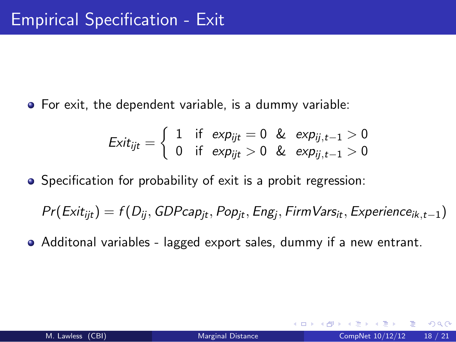For exit, the dependent variable, is a dummy variable:

$$
Exit_{ijt} = \left\{ \begin{array}{ll} 1 & \text{if } \exp_{ijt} = 0 \quad \& \exp_{ij,t-1} > 0 \\ 0 & \text{if } \exp_{ijt} > 0 \quad \& \exp_{ij,t-1} > 0 \end{array} \right.
$$

• Specification for probability of exit is a probit regression:

 $Pr(E \times it_{ijt}) = f(D_{ij}, GDP \cap p_{jt}, Pop_{jt}, Eng_j, FirmVars_{it}, Experiment \cap e_{ik,t-1})$ 

Additonal variables - lagged export sales, dummy if a new entrant.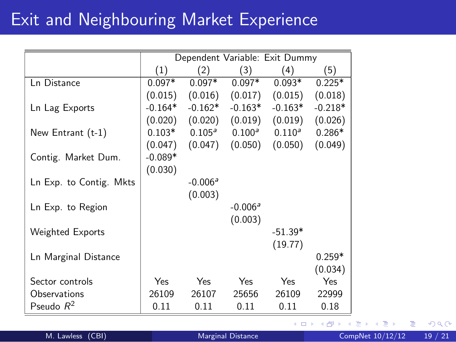### Exit and Neighbouring Market Experience

|                         | Dependent Variable: Exit Dummy |                 |                    |           |           |
|-------------------------|--------------------------------|-----------------|--------------------|-----------|-----------|
|                         | (1)                            | (2)             | (3)                | (4)       | (5)       |
| Ln Distance             | $0.097*$                       | $0.097*$        | $0.097*$           | $0.093*$  | $0.225*$  |
|                         | (0.015)                        | (0.016)         | (0.017)            | (0.015)   | (0.018)   |
| Ln Lag Exports          | $-0.164*$                      | $-0.162*$       | $-0.163*$          | $-0.163*$ | $-0.218*$ |
|                         | (0.020)                        | (0.020)         | (0.019)            | (0.019)   | (0.026)   |
| New Entrant $(t-1)$     | $0.103*$                       | $0.105^{\circ}$ | 0.100 <sup>a</sup> | $0.110^a$ | $0.286*$  |
|                         | (0.047)                        | (0.047)         | (0.050)            | (0.050)   | (0.049)   |
| Contig. Market Dum.     | $-0.089*$                      |                 |                    |           |           |
|                         | (0.030)                        |                 |                    |           |           |
| Ln Exp. to Contig. Mkts |                                | $-0.006a$       |                    |           |           |
|                         |                                | (0.003)         |                    |           |           |
| Ln Exp. to Region       |                                |                 | $-0.006a$          |           |           |
|                         |                                |                 | (0.003)            |           |           |
| Weighted Exports        |                                |                 |                    | $-51.39*$ |           |
|                         |                                |                 |                    | (19.77)   |           |
| Ln Marginal Distance    |                                |                 |                    |           | $0.259*$  |
|                         |                                |                 |                    |           | (0.034)   |
| Sector controls         | <b>Yes</b>                     | Yes.            | <b>Yes</b>         | Yes       | Yes       |
| Observations            | 26109                          | 26107           | 25656              | 26109     | 22999     |
| Pseudo $R^2$            | 0.11                           | 0.11            | 0.11               | 0.11      | 0.18      |

 $\leftarrow$ 

M. Lawless (CBI) [Marginal Distance](#page-0-0) CompNet  $10/12/12$  19 / 21

 $299$ 

Þ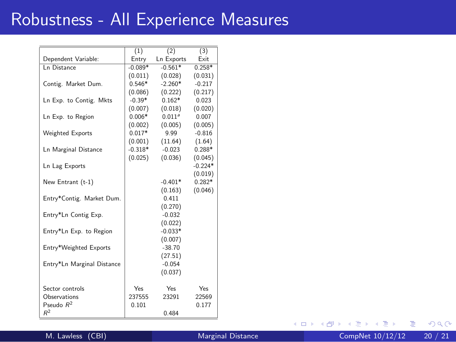# Robustness - All Experience Measures

|                             | (1)       | (2)                | (3)       |
|-----------------------------|-----------|--------------------|-----------|
| Dependent Variable:         | Entry     | <b>Ln Exports</b>  | Fxit      |
| In Distance                 | $-0.089*$ | $-0.561*$          | $0.258*$  |
|                             | (0.011)   | (0.028)            | (0.031)   |
| Contig. Market Dum.         | $0.546*$  | $-2.260*$          | $-0.217$  |
|                             | (0.086)   | (0.222)            | (0.217)   |
| Ln Exp. to Contig. Mkts     | $-0.39*$  | $0.162*$           | 0.023     |
|                             | (0.007)   | (0.018)            | (0.020)   |
| Ln Exp. to Region           | $0.006*$  | 0.011 <sup>3</sup> | 0.007     |
|                             | (0.002)   | (0.005)            | (0.005)   |
| <b>Weighted Exports</b>     | $0.017*$  | 9.99               | $-0.816$  |
|                             | (0.001)   | (11.64)            | (1.64)    |
| <b>Ln Marginal Distance</b> | $-0.318*$ | $-0.023$           | $0.288*$  |
|                             | (0.025)   | (0.036)            | (0.045)   |
| Ln Lag Exports              |           |                    | $-0.224*$ |
|                             |           |                    | (0.019)   |
| New Entrant (t-1)           |           | $-0.401*$          | $0.282*$  |
|                             |           | (0.163)            | (0.046)   |
| Entry*Contig. Market Dum.   |           | 0.411              |           |
|                             |           | (0.270)            |           |
| Entry*Ln Contig Exp.        |           | $-0.032$           |           |
|                             |           | (0.022)            |           |
| Entry*Ln Exp. to Region     |           | $-0.033*$          |           |
|                             |           | (0.007)            |           |
| Entry*Weighted Exports      |           | $-38.70$           |           |
|                             |           | (27.51)            |           |
| Entry*Ln Marginal Distance  |           | $-0.054$           |           |
|                             |           | (0.037)            |           |
| Sector controls             | Yes       | Yes                | Yes       |
| Observations                | 237555    | 23291              | 22569     |
| Pseudo $R^2$                | 0.101     |                    | 0.177     |
| $R^2$                       |           | 0.484              |           |
|                             |           |                    |           |

 $\leftarrow$ 

活

 $298$